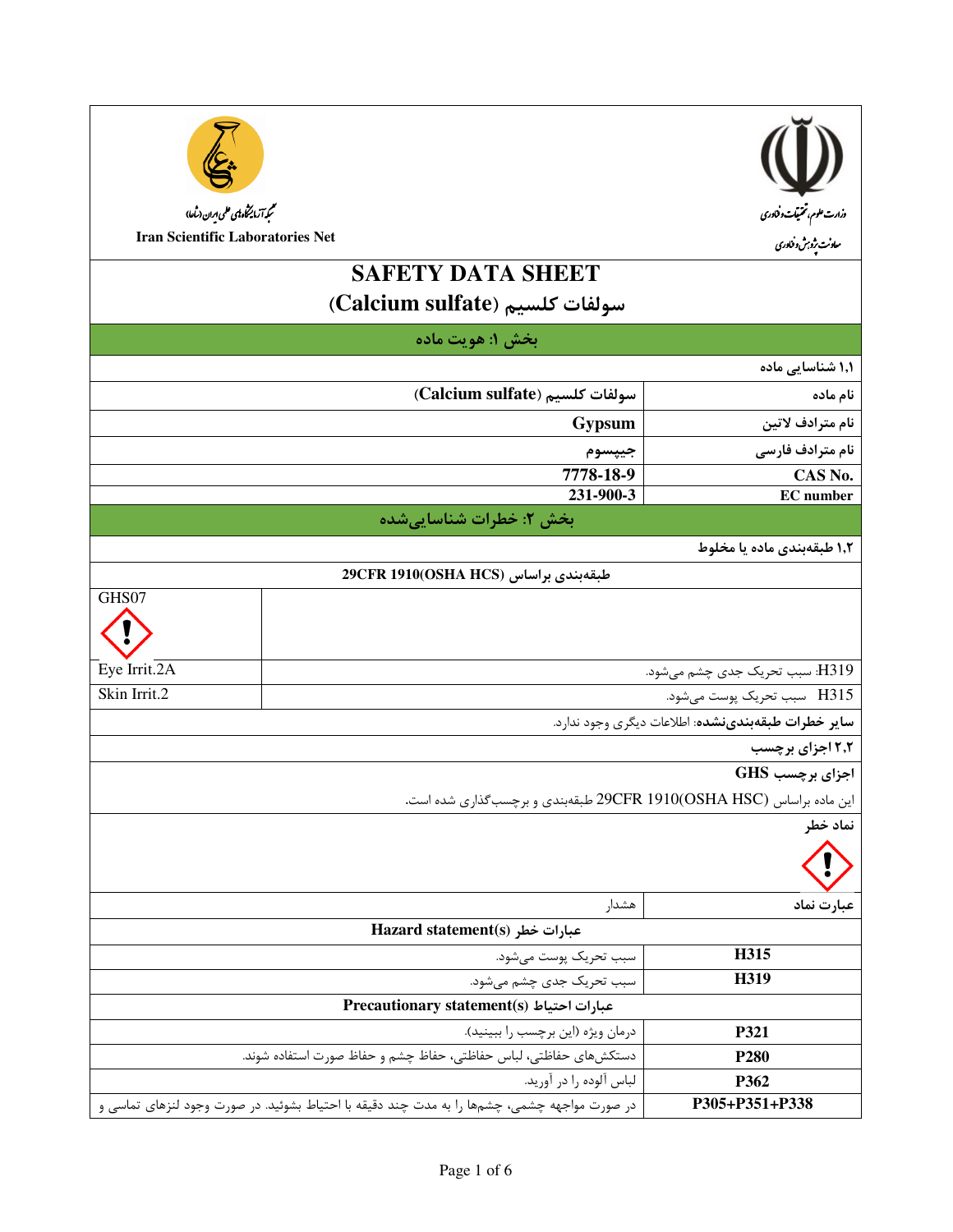



ىممې<del>را</del> زمايىڭى پ<sup>ې</sup>ن ھىمى بىران (ساعا)

**Iran Scientific Laboratories Net** 

GHS07

Eye Irrit.2A

Skin Irrit.2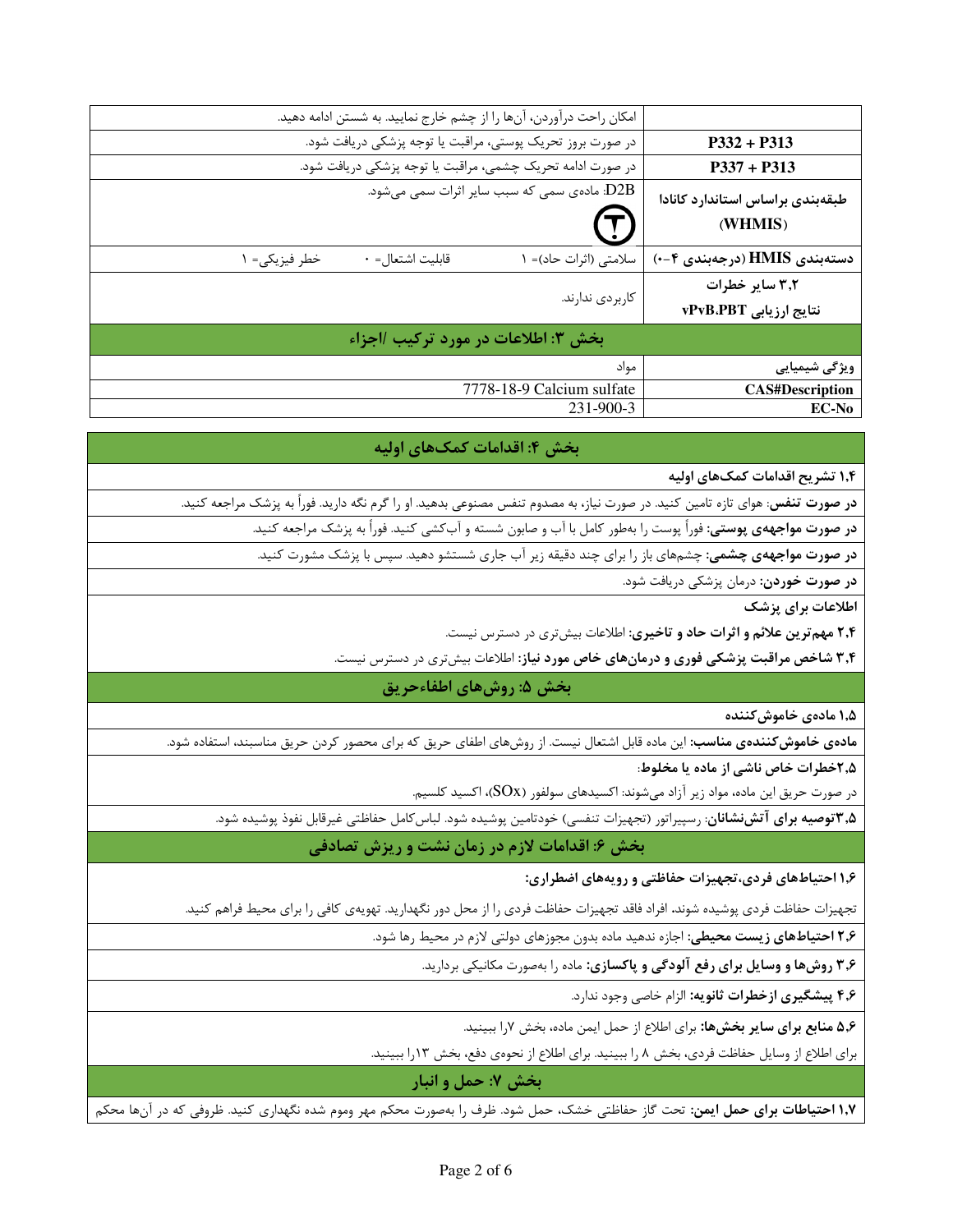|                                             | امکان راحت درآوردن، آنها را از چشم خارج نمایید. به شستن ادامه دهید. |                  |               |  |
|---------------------------------------------|---------------------------------------------------------------------|------------------|---------------|--|
| $P332 + P313$                               | در صورت بروز تحریک پوستی، مراقبت یا توجه پزشکی دریافت شود.          |                  |               |  |
| $P337 + P313$                               | در صورت ادامه تحریک چشمی، مراقبت یا توجه پزشکی دریافت شود.          |                  |               |  |
| طبقهبندى براساس استاندارد كانادا<br>(WHMIS) | D2B: مادەی سمی کە سبب سایر اثرات سمی میشود.                         |                  |               |  |
| دستەبندى HMIS (درجەبندى ۴−۰)                | سلامتی (اثرات حاد)= ۱                                               | قابليت اشتعال= ٠ | خطر فيزيكي= ١ |  |
| ۳٫۲ سایر خطرات                              |                                                                     |                  |               |  |
| نتایج ارزیابی vPvB.PBT                      | كاربردى ندارند.                                                     |                  |               |  |
| بخش ٣: اطلاعات در مورد تركيب /اجزاء         |                                                                     |                  |               |  |
| ویژگی شیمیایی                               | مواد                                                                |                  |               |  |
| <b>CAS#Description</b>                      | 7778-18-9 Calcium sulfate                                           |                  |               |  |
| <b>EC-No</b>                                | 231-900-3                                                           |                  |               |  |

#### بخش ۴: اقدامات کمکهای اولیه

۱٫۴ تشریح اقدامات کمک&ای اولیه

**در صورت تنفس**: هواي تازه تامين كنيد. در صورت نياز، به مصدوم تنفس مصنوعي بدهيد. او را گرم نگه داريد. فوراً به پزشک مراجعه كنيد.

**در صورت مواجههی پوستی:** فوراً پوست را بهطور کامل با آب و صابون شسته و آبکشی کنید. فوراً به پزشک مراجعه کنید.

**در صورت مواجههی چشمی:** چشمهای باز را برای چند دقیقه زیر آب جاری شستشو دهید. سپس با پزشک مشورت کنید.

**در صورت خوردن:** درمان پزشکی دریافت شود.

اطلاعات برای یزشک

۲٫۴ مهم ترین علائم و اثرات حاد و تاخیری: اطلاعات بیش تری در دسترس نیست.

۳٫۴ شاخص مراقبت پزشکی فوری و درمانهای خاص مورد نیاز: اطلاعات بیشتری در دسترس نیست.

# بخش ۵: روشهای اطفاءحریق

۱٫۵ مادەى خاموش *ك*نندە

م**ادهی خاموش کنندهی مناسب**: این ماده قابل اشتعال نیست. از روشهای اطفای حریق که برای محصور کردن حریق مناسبند، استفاده شود.

۲٫۵خطرات خاص ناشی از ماده یا مخلوط:

در صورت حریق این ماده، مواد زیر آزاد میشوند: اکسیدهای سولفور (SOx)، اکسید کلسیم.

**۳٫۵ توصیه برای آتشنشانان**: رسپیراتور (تجهیزات تنفسی) خودتامین پوشیده شود. لباس کامل حفاظتی غیرقابل نفوذ پوشیده شود.

بخش ۶: اقدامات لازم در زمان نشت و ریزش تصادفی

۱٫۶ احتیاطهای فردی،تجهیزات حفاظتی و رویههای اضطراری:

تجهیزات حفاظت فردی پوشیده شوند. افراد فاقد تجهیزات حفاظت فردی را از محل دور نگهدارید. تهویهی کافی را برای محیط فراهم کنید.

۲٫۶ احتیاطهای زیست محیطی: اجازه ندهید ماده بدون مجوزهای دولتی لازم در محیط رها شود.

۳٫۶ روشها و وسایل برای رفع آلودگی و پاکسازی: ماده را بهصورت مکانیکی بردارید.

۴٫۶ پیشگیری ازخطرات ثانویه: الزام خاصی وجود ندارد.

۵٫۶ منابع برای سایر بخشها: برای اطلاع از حمل ایمن ماده، بخش ۷٫ا ببینید.

برای اطلاع از وسایل حفاظت فردی، بخش ۸ را ببینید. برای اطلاع از نحوهی دفع، بخش ۱۳را ببینید.

بخش ۷: حمل و انبار

**۱٫۷ احتیاطات برای حمل ایمن**: تحت گاز حفاظتی خشک، حمل شود. ظرف را بهصورت محکم مهر وموم شده نگهداری کنید. ظروفی که در آنها محکم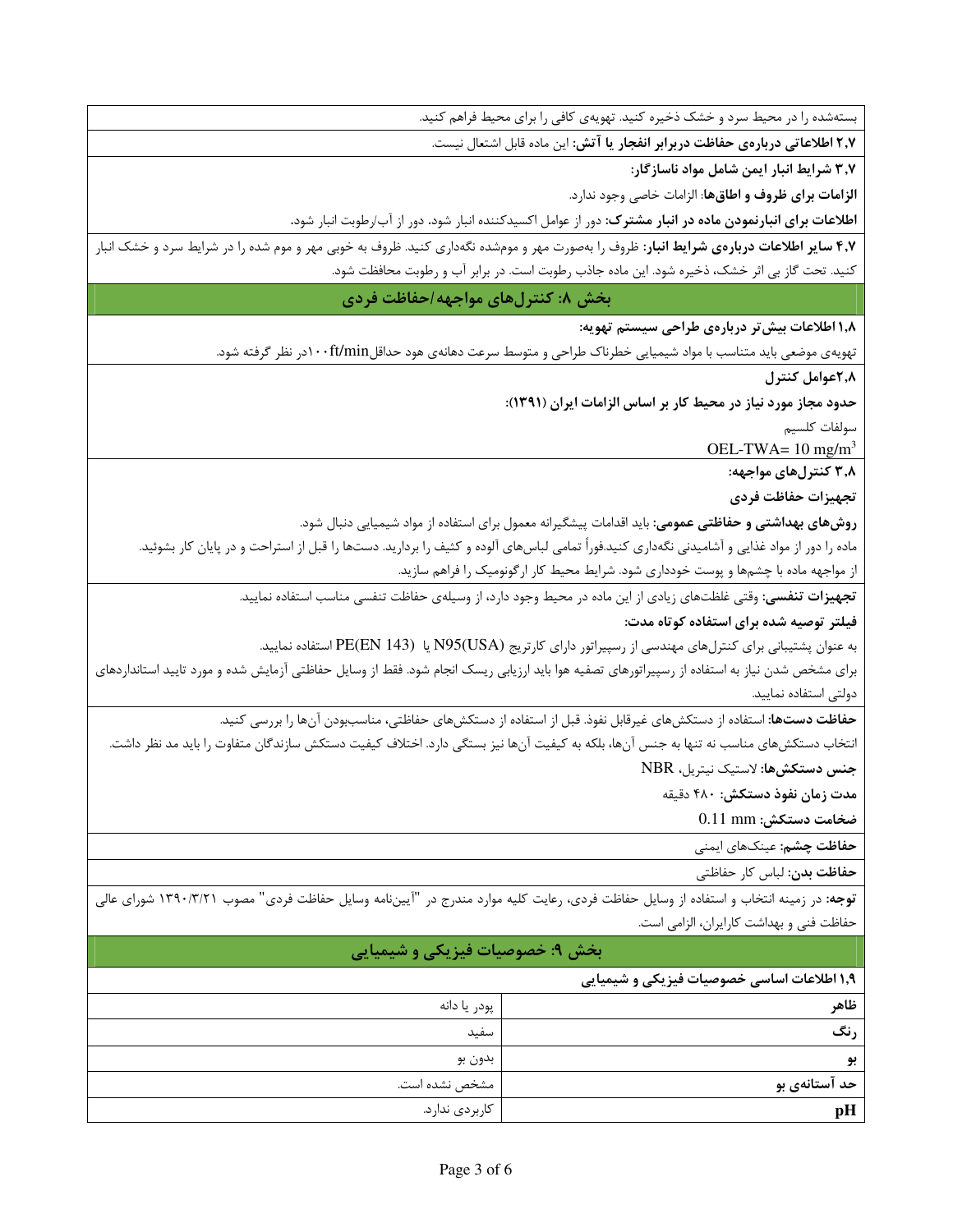بستهشده را در محیط سرد و خشک ذخیره کنید. تهویهی کافی را برای محیط فراهم کنید.

٢٫٧ اطلاعاتي دربارهي حفاظت دربرابر انفجار يا آتش: اين ماده قابل اشتعال نيست.

٣٫٧ شرايط انبار ايمن شامل مواد ناسازگار:

**الزامات برای ظروف و اطاقها**: الزامات خاصی وجود ندارد.

ا**طلاعات برای انبارنمودن ماده در انبار مشترک**: دور از عوامل اکسیدکننده انبار شود. دور از آب/رطوبت انبار شود.

۴٫۷ سایر اطلاعات دربارهی شرایط انبار: ظروف را بهصورت مهر و مومشده نگهداری کنید. ظروف به خوبی مهر و موم شده را در شرایط سرد و خشک انبار کنید. تحت گاز بی اثر خشک، ذخیره شود. این ماده جاذب رطوبت است. در برابر آب و رطوبت محافظت شود.

بخش ٨: كنترلهاي مواجهه احفاظت فردي

١,٨ اطلاعات بيش تر دربارهي طراحي سيستم تهويه:

تهویهی موضعی باید متناسب با مواد شیمیایی خطرناک طراحی و متوسط سرعت دهانهی هود حداقلft/minدر نظر گرفته شود.

٢,٨هوامل كنترل

حدود مجاز مورد نیاز در محیط کار بر اساس الزامات ایران (۱۳۹۱):

سولفات كلسيم

OEL-TWA=  $10 \text{ mg/m}^3$ 

۳٫۸ کنترلهای مواجهه:

تجهيزات حفاظت فردى

**روشهای بهداشتی و حفاظتی عمومی**: باید اقدامات پیشگیرانه معمول برای استفاده از مواد شیمیایی دنبال شود.

ماده را دور از مواد غذایی و آشامیدنی نگهداری کنید.فوراً تمامی لباسهای آلوده و کثیف را بردارید. دستها را قبل از استراحت و در پایان کار بشوئید. از مواجهه ماده با چشمها و پوست خودداری شود. شرایط محیط کار ارگونومیک را فراهم سازید.

تجهیزات تنفسی: وقتی غلظتهای زیادی از این ماده در محیط وجود دارد، از وسیلهی حفاظت تنفسی مناسب استفاده نمایید.

# فیلتر توصیه شده برای استفاده کوتاه مدت:

به عنوان پشتیبانی برای کنترلهای مهندسی از رسپیراتور دارای کارتریج (N95(USA یا PE(EN 143) استفاده نمایید.

برای مشخص شدن نیاز به استفاده از رسپیراتورهای تصفیه هوا باید ارزیابی ریسک انجام شود. فقط از وسایل حفاظتی آزمایش شده و مورد تایید استانداردهای دولتى استفاده نماييد.

**حفاظت دستها:** استفاده از دستکشهای غیرقابل نفوذ. قبل از استفاده از دستکشهای حفاظتی، مناسببودن آنها را بررسی کنید.

انتخاب دستكشهاى مناسب نه تنها به جنس آنها، بلكه به كيفيت آنها نيز بستگي دارد. اختلاف كيفيت دستكش سازندگان متفاوت را بايد مد نظر داشت. جنس دستكشها: لاستيك نيتريل، NBR

مدت زمان نفوذ دستكش: ۴۸۰ دقیقه

ضخامت دستكش: 0.11 mm

**حفاظت چشم:** عینکهای ایمنی

حفاظت بدن: لباس كار حفاظتى

<mark>توجه</mark>: در زمینه انتخاب و استفاده از وسایل حفاظت فردی، رعایت کلیه موارد مندرج در "آیینiامه وسایل حفاظت فردی" مصوب ۱۳۹۰/۳/۲۱ شورای عالی حفاظت فنی و بهداشت کارایران، الزامی است.

# بخش ۹: خصوصیات فیزیکی و شیمیایی

#### ۱٫۹ اطلاعات اساسی خصوصیات فیزیکی و شیمیایی

| ظاهر          | پودر يا دانه   |
|---------------|----------------|
|               |                |
| رنگ           | سفيد           |
| بو            | بدون بو        |
| حد آستانهی بو | مشخص نشده است. |
| pH            | كاربردى ندارد. |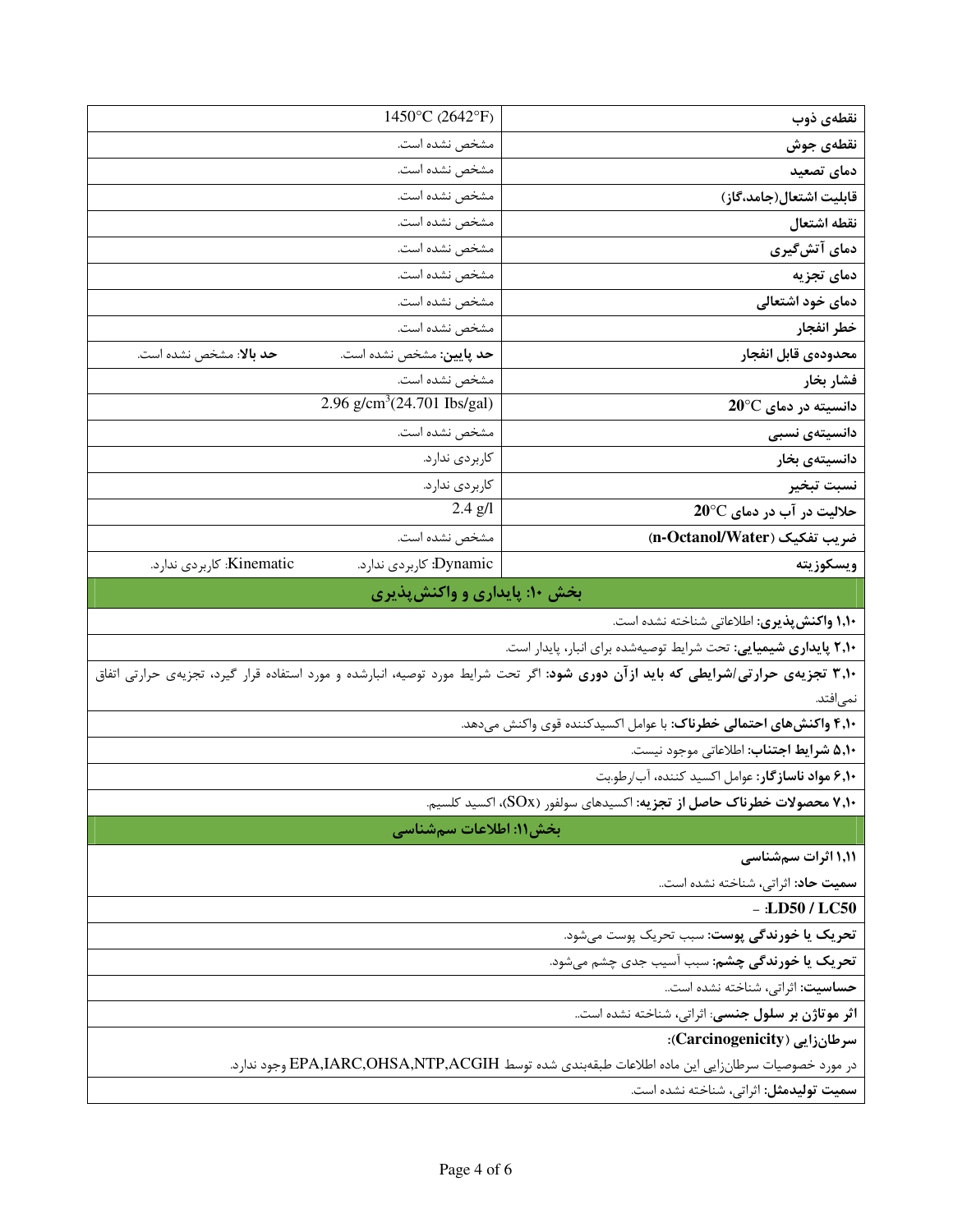| نقطەي ذوب                                                                                                                                 | 1450°C (2642°F)                                      |  |  |
|-------------------------------------------------------------------------------------------------------------------------------------------|------------------------------------------------------|--|--|
| نقطهى جوش                                                                                                                                 | مشخص نشده است.                                       |  |  |
| دمای تصعید                                                                                                                                | مشخص نشده است.                                       |  |  |
| قابليت اشتعال(جامد،گاز)                                                                                                                   | مشخص نشده است.                                       |  |  |
| نقطه اشتعال                                                                                                                               | مشخص نشده است.                                       |  |  |
| دمای آتشگیری                                                                                                                              | مشخص نشده است.                                       |  |  |
| دمای تجزیه                                                                                                                                | مشخص نشده است.                                       |  |  |
| دمای خود اشتعالی                                                                                                                          | مشخص نشده است.                                       |  |  |
| خطر انفجار                                                                                                                                | مشخص نشده است.                                       |  |  |
| محدودهى قابل انفجار                                                                                                                       | حد پایین: مشخص نشده است.<br>حد بالا: مشخص نشده است.  |  |  |
| فشار بخار                                                                                                                                 | مشخص نشده است.                                       |  |  |
| $20^{\circ}$ C دانسیته در دمای                                                                                                            | 2.96 $g/cm^3(24.701$ Ibs/gal)                        |  |  |
| دانسیتەی نسبی                                                                                                                             | مشخص نشده است.                                       |  |  |
| دانسیتەی بخار                                                                                                                             | كاربردى ندارد.                                       |  |  |
| نسبت تبخير                                                                                                                                | كاربردي ندارد.                                       |  |  |
| حلالیت در آب در دمای 20°C                                                                                                                 | $2.4$ $g/l$                                          |  |  |
| ضريب تفكيك (n-Octanol/Water)                                                                                                              | مشخص نشده است.                                       |  |  |
| ويسكوزيته                                                                                                                                 | Kinematic: كاربردي ندارد.<br>Dynamic: كاربردي ندارد. |  |  |
|                                                                                                                                           | بخش ۱۰: پایداری و واکنشپذیری                         |  |  |
| <b>۱٫۱۰ واکنش پذیری</b> : اطلاعاتی شناخته نشده است.                                                                                       |                                                      |  |  |
| ۲٬۱۰ پایداری شیمیایی: تحت شرایط توصیهشده برای انبار، پایدار است.                                                                          |                                                      |  |  |
| <b>۳٫۱۰ تجزیهی حرارتی/شرایطی که باید ازآن دوری شود</b> : اگر تحت شرایط مورد توصیه، انبارشده و مورد استفاده قرار گیرد، تجزیهی حرارتی اتفاق |                                                      |  |  |
| نمى فتد.                                                                                                                                  |                                                      |  |  |
| ۴٫۱۰ واکنشهای احتمالی خطرناک: با عوامل اکسیدکننده قوی واکنش میدهد.                                                                        |                                                      |  |  |
| ۵٬۱۰ شرايط اجتناب: اطلاعاتي موجود نيست.                                                                                                   |                                                      |  |  |
| ۶٬۱۰ مواد ناسازگار: عوامل اکسید کننده، آب/رطو.بت                                                                                          |                                                      |  |  |
| <b>۷٬۱۰ محصولات خطرناک حاصل از تجزیه:</b> اکسیدهای سولفور (SOx)، اکسید کلسیم.                                                             |                                                      |  |  |
|                                                                                                                                           | بخش۱۱: اطلاعات سمشناسی                               |  |  |
| ۱٬۱۱ اثرات سم شناسی                                                                                                                       |                                                      |  |  |
| سميت حاد: اثراتي، شناخته نشده است                                                                                                         |                                                      |  |  |
| $-$ :LD50 / LC50                                                                                                                          |                                                      |  |  |
| تحريک يا خورندگي پوست: سبب تحريک پوست ميشود.                                                                                              |                                                      |  |  |
| تحريك يا خورندگي چشم: سبب آسيب جدي چشم مي شود.                                                                                            |                                                      |  |  |
| حساسيت: اثراتي، شناخته نشده است                                                                                                           |                                                      |  |  |
| اثر موتاژن بر سلول جنسی: اثراتی، شناخته نشده است                                                                                          |                                                      |  |  |
| سرطانزایی (Carcinogenicity):                                                                                                              |                                                      |  |  |
|                                                                                                                                           |                                                      |  |  |
| در مورد خصوصیات سرطانزایی این ماده اطلاعات طبقهبندی شده توسط EPA,IARC,OHSA,NTP,ACGIH وجود ندارد.                                          |                                                      |  |  |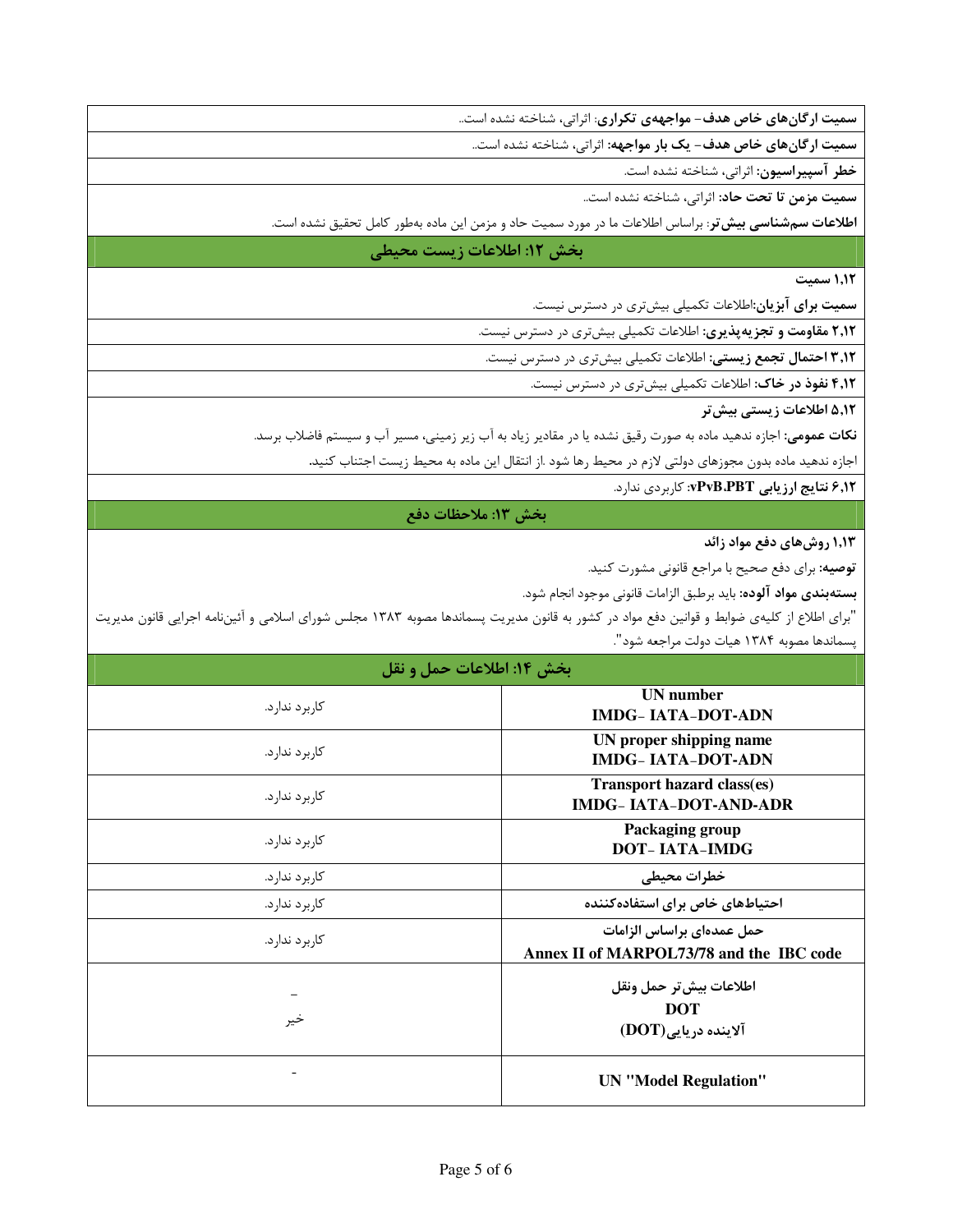سمیت ارگانهای خاص هدف- مواجههی تکراری: اثراتی، شناخته نشده است..

سمیت ارگانهای خاص هدف- یک بار مواجهه: اثراتی، شناخته نشده است..

خطر آسپیراسیون: اثراتی، شناخته نشده است.

سميت م<mark>زمن تا تحت حاد</mark>: اثراتي، شناخته نشده است..

**اطلاعات سمشناسی بیش تر**: براساس اطلاعات ما در مورد سمیت حاد و مزمن این ماده بهطور کامل تحقیق نشده است.

#### بخش ١٢: اطلاعات زيست محيطي

1.1٢ سمت

**سمیت برای آبزیان**:اطلاعات تکمیلی بیشتری در دسترس نیست.

۲٫۱۲ مقاومت و تجزیهپذیری: اطلاعات تکمیلی بیشتری در دسترس نیست.

۳٫۱۲ احتمال تجمع زیستی: اطلاعات تکمیلی بیشتری در دسترس نیست.

۴٫۱۲ نفوذ در خاک: اطلاعات تکمیل<sub>ی بیش</sub>تری در دسترس نیست.

۵٬۱۲ اطلاعات زیستی بیش تر

**نکات عمومی:** اجازه ندهید ماده به صورت رقیق نشده یا در مقادیر زیاد به آب زیر زمینی، مسیر آب و سیستم فاضلاب برسد.

اجازه ندهید ماده بدون مجوزهای دولتی لازم در محیط رها شود .از انتقال این ماده به محیط زیست اجتناب کنید.

۶٫۱۲ نتایج ارزیابی PvB.PBT: کاربردی ندارد.

#### بخش ١٣: ملاحظات دفع

1,۱۳ روش های دفع مواد زائد

**توصیه**: برای دفع صحیح با مراجع قانونی مشورت کنید.

**بستهبندي مواد آلوده:** بايد برطبق الزامات قانوني موجود انجام شود.

"برای اطلاع از کلیهی ضوابط و قوانین دفع مواد در کشور به قانون مدیریت پسماندها مصوبه ۱۳۸۳ مجلس شورای اسلامی و آئیننامه اجرایی قانون مدیریت پسماندها مصوبه ۱۳۸۴ هیات دولت مراجعه شود".

| بخش ۱۴: اطلاعات حمل و نقل |                                                                       |  |
|---------------------------|-----------------------------------------------------------------------|--|
| کارېرد ندارد.             | <b>UN</b> number<br><b>IMDG-IATA-DOT-ADN</b>                          |  |
| کا, بر د ندا, د.          | UN proper shipping name<br><b>IMDG-IATA-DOT-ADN</b>                   |  |
| کاربر د ندار د.           | <b>Transport hazard class(es)</b><br><b>IMDG- IATA-DOT-AND-ADR</b>    |  |
| کارېرد ندارد.             | Packaging group<br><b>DOT-IATA-IMDG</b>                               |  |
| کارېرد ندارد.             | خطرات محيطي                                                           |  |
| کاربر د ندار د.           | احتیاطهای خاص برای استفاده کننده                                      |  |
| کاربر د ندار د.           | حمل عمدهای براساس الزامات<br>Annex II of MARPOL73/78 and the IBC code |  |
| خير                       | اطلاعات بيش تر حمل ونقل<br><b>DOT</b><br>$(DOT)$ آلاینده دریایی       |  |
|                           | <b>UN</b> "Model Regulation"                                          |  |